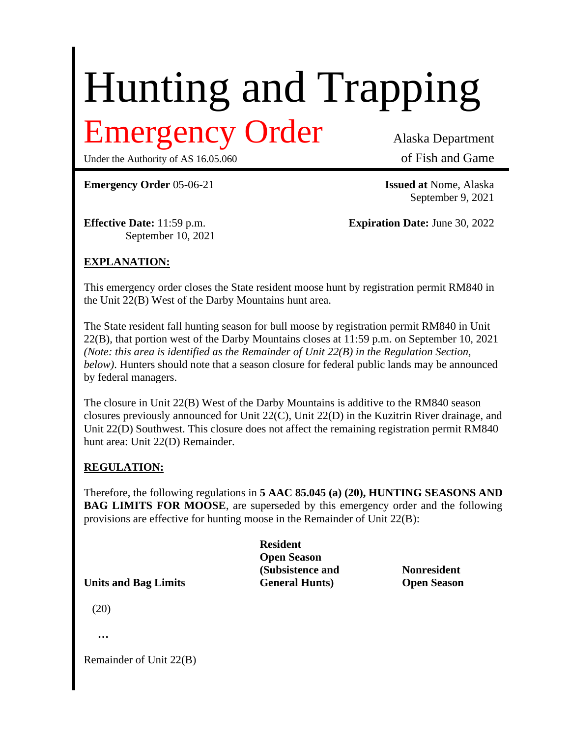# Hunting and Trapping

## Emergency Order Alaska Department

Under the Authority of AS 16.05.060 of Fish and Game

**Emergency Order** 05-06-21 **Issued at** Nome, Alaska

September 9, 2021

September 10, 2021

**Effective Date:** 11:59 p.m. **Expiration Date:** June 30, 2022

### **EXPLANATION:**

This emergency order closes the State resident moose hunt by registration permit RM840 in the Unit 22(B) West of the Darby Mountains hunt area.

The State resident fall hunting season for bull moose by registration permit RM840 in Unit 22(B), that portion west of the Darby Mountains closes at 11:59 p.m. on September 10, 2021 *(Note: this area is identified as the Remainder of Unit 22(B) in the Regulation Section, below)*. Hunters should note that a season closure for federal public lands may be announced by federal managers.

The closure in Unit 22(B) West of the Darby Mountains is additive to the RM840 season closures previously announced for Unit 22(C), Unit 22(D) in the Kuzitrin River drainage, and Unit 22(D) Southwest. This closure does not affect the remaining registration permit RM840 hunt area: Unit 22(D) Remainder.

### **REGULATION:**

Therefore, the following regulations in **5 AAC 85.045 (a) (20), HUNTING SEASONS AND BAG LIMITS FOR MOOSE**, are superseded by this emergency order and the following provisions are effective for hunting moose in the Remainder of Unit 22(B):

**Resident Open Season (Subsistence and Nonresident Units and Bag Limits General Hunts) Open Season**

(20)

|  | ٠<br>× | ۰<br>× | ٠<br>× |
|--|--------|--------|--------|
|  |        |        |        |

Remainder of Unit 22(B)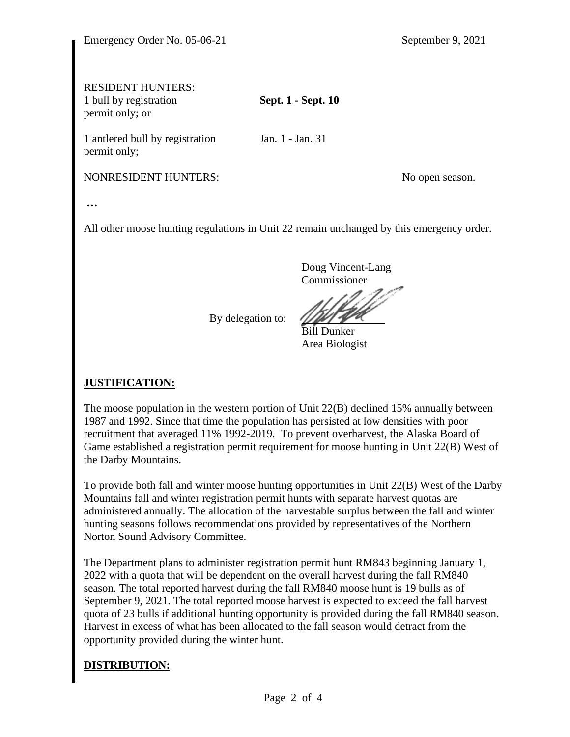### RESIDENT HUNTERS:

1 bull by registration **Sept. 1 - Sept. 10** permit only; or

1 antlered bull by registration Jan. 1 - Jan. 31 permit only;

NONRESIDENT HUNTERS: No open season.

**…**

All other moose hunting regulations in Unit 22 remain unchanged by this emergency order.

Doug Vincent-Lang Commissioner

By delegation to:

Bill Dunker Area Biologist

### **JUSTIFICATION:**

The moose population in the western portion of Unit 22(B) declined 15% annually between 1987 and 1992. Since that time the population has persisted at low densities with poor recruitment that averaged 11% 1992-2019. To prevent overharvest, the Alaska Board of Game established a registration permit requirement for moose hunting in Unit 22(B) West of the Darby Mountains.

To provide both fall and winter moose hunting opportunities in Unit 22(B) West of the Darby Mountains fall and winter registration permit hunts with separate harvest quotas are administered annually. The allocation of the harvestable surplus between the fall and winter hunting seasons follows recommendations provided by representatives of the Northern Norton Sound Advisory Committee.

The Department plans to administer registration permit hunt RM843 beginning January 1, 2022 with a quota that will be dependent on the overall harvest during the fall RM840 season. The total reported harvest during the fall RM840 moose hunt is 19 bulls as of September 9, 2021. The total reported moose harvest is expected to exceed the fall harvest quota of 23 bulls if additional hunting opportunity is provided during the fall RM840 season. Harvest in excess of what has been allocated to the fall season would detract from the opportunity provided during the winter hunt.

### **DISTRIBUTION:**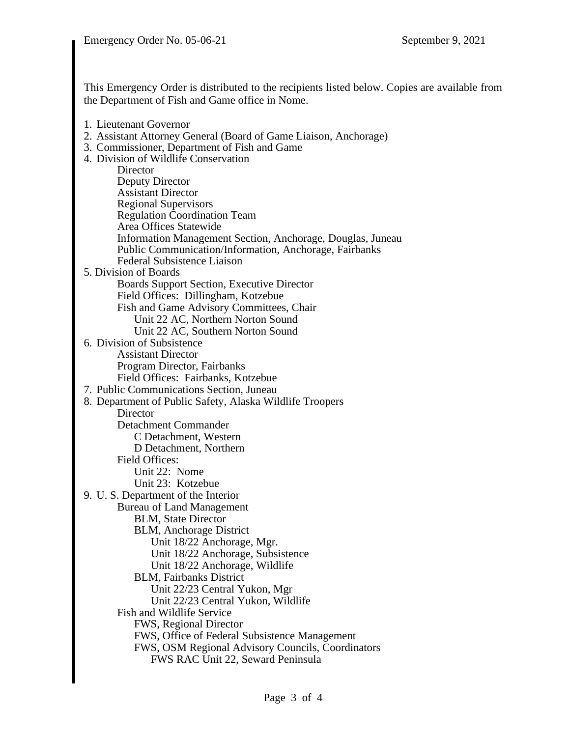This Emergency Order is distributed to the recipients listed below. Copies are available from the Department of Fish and Game office in Nome.

- 1. Lieutenant Governor
- 2. Assistant Attorney General (Board of Game Liaison, Anchorage)
- 3. Commissioner, Department of Fish and Game
- 4. Division of Wildlife Conservation **Director** Deputy Director Assistant Director Regional Supervisors Regulation Coordination Team Area Offices Statewide Information Management Section, Anchorage, Douglas, Juneau Public Communication/Information, Anchorage, Fairbanks Federal Subsistence Liaison 5. Division of Boards Boards Support Section, Executive Director Field Offices: Dillingham, Kotzebue Fish and Game Advisory Committees, Chair Unit 22 AC, Northern Norton Sound Unit 22 AC, Southern Norton Sound 6. Division of Subsistence Assistant Director Program Director, Fairbanks Field Offices: Fairbanks, Kotzebue 7. Public Communications Section, Juneau 8. Department of Public Safety, Alaska Wildlife Troopers **Director** Detachment Commander C Detachment, Western D Detachment, Northern Field Offices: Unit 22: Nome Unit 23: Kotzebue 9. U. S. Department of the Interior Bureau of Land Management BLM, State Director BLM, Anchorage District Unit 18/22 Anchorage, Mgr. Unit 18/22 Anchorage, Subsistence Unit 18/22 Anchorage, Wildlife BLM, Fairbanks District Unit 22/23 Central Yukon, Mgr Unit 22/23 Central Yukon, Wildlife Fish and Wildlife Service FWS, Regional Director FWS, Office of Federal Subsistence Management FWS, OSM Regional Advisory Councils, Coordinators FWS RAC Unit 22, Seward Peninsula